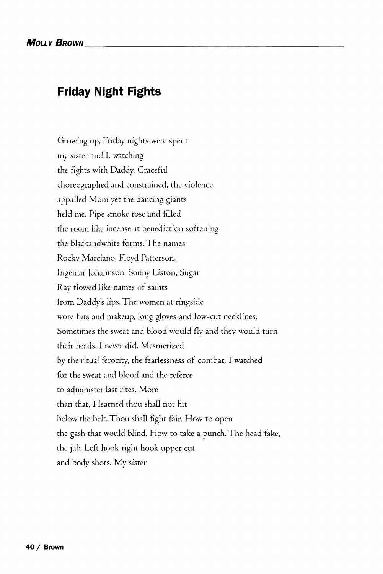## **Friday Night Fights**

Growing up, Friday nights were spent my sister and I, watching the fights with Daddy. Graceful choreographed and constrained, the violence appalled Mom yet the dancing giants held me. Pipe smoke rose and filled the room like incense at benediction softening the blackandwhite forms. The names Rocky Marciano, Floyd Patterson, Ingemar Johannson, Sonny Liston, Sugar Ray flowed like names of saints from Daddy's lips. The women at ringside wore furs and makeup, long gloves and low-cut necklines. Sometimes the sweat and blood would fly and they would turn their heads. I never did. Mesmerized by the ritual ferocity, the fearlessness of combat, I watched for the sweat and blood and the referee to administer last rites. More than that, I learned thou shall not hit below the belt. Thou shall fight fair. How to open the gash that would blind. How to take a punch. The head fake, the jab. Left hook right hook upper cut and body shots. My sister